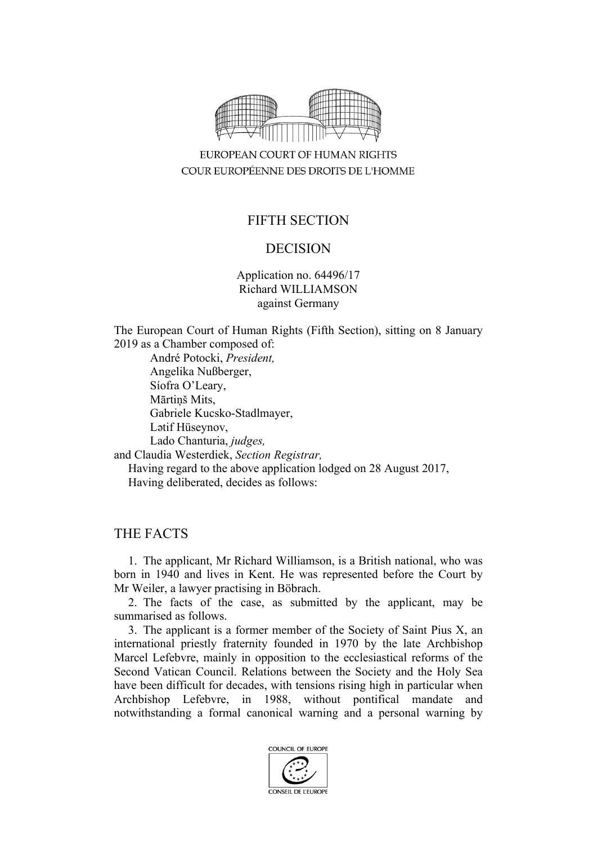

EUROPEAN COURT OF HUMAN RIGHTS COUR EUROPÉENNE DES DROITS DE L'HOMME

# FIFTH SECTION

## DECISION

Application no. 64496/17 Richard WILLIAMSON against Germany

The European Court of Human Rights (Fifth Section), sitting on 8 January 2019 as a Chamber composed of:

André Potocki, *President,* Angelika Nußberger, Síofra O'Leary, Mārtiņš Mits, Gabriele Kucsko-Stadlmayer, Lәtif Hüseynov, Lado Chanturia, *judges,*

and Claudia Westerdiek, *Section Registrar,*

Having regard to the above application lodged on 28 August 2017, Having deliberated, decides as follows:

## THE FACTS

1. The applicant, Mr Richard Williamson, is a British national, who was born in 1940 and lives in Kent. He was represented before the Court by Mr Weiler, a lawyer practising in Böbrach.

2. The facts of the case, as submitted by the applicant, may be summarised as follows.

3. The applicant is a former member of the Society of Saint Pius X, an international priestly fraternity founded in 1970 by the late Archbishop Marcel Lefebvre, mainly in opposition to the ecclesiastical reforms of the Second Vatican Council. Relations between the Society and the Holy Sea have been difficult for decades, with tensions rising high in particular when Archbishop Lefebvre, in 1988, without pontifical mandate and notwithstanding a formal canonical warning and a personal warning by

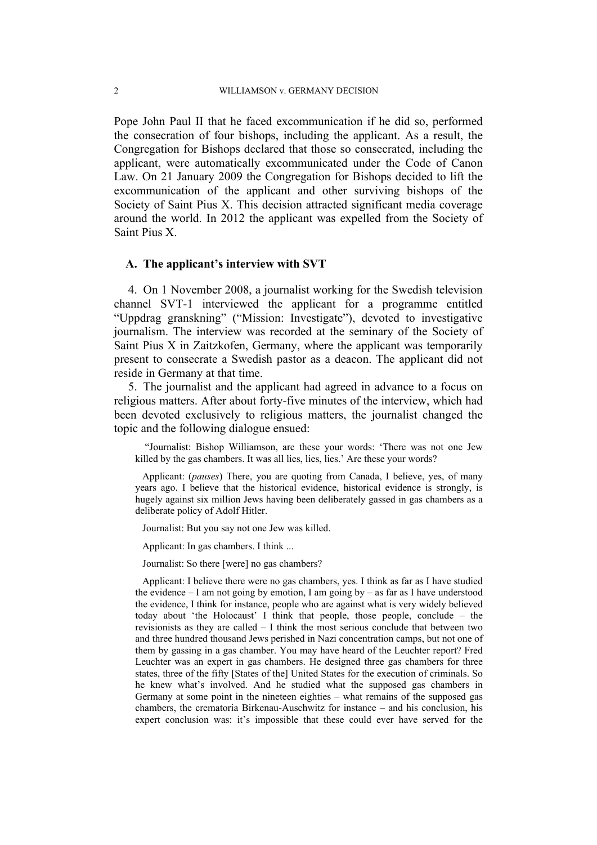Pope John Paul II that he faced excommunication if he did so, performed the consecration of four bishops, including the applicant. As a result, the Congregation for Bishops declared that those so consecrated, including the applicant, were automatically excommunicated under the Code of Canon Law. On 21 January 2009 the Congregation for Bishops decided to lift the excommunication of the applicant and other surviving bishops of the Society of Saint Pius X. This decision attracted significant media coverage around the world. In 2012 the applicant was expelled from the Society of Saint Pius X.

#### **A. The applicant's interview with SVT**

4. On 1 November 2008, a journalist working for the Swedish television channel SVT-1 interviewed the applicant for a programme entitled "Uppdrag granskning" ("Mission: Investigate"), devoted to investigative journalism. The interview was recorded at the seminary of the Society of Saint Pius X in Zaitzkofen, Germany, where the applicant was temporarily present to consecrate a Swedish pastor as a deacon. The applicant did not reside in Germany at that time.

5. The journalist and the applicant had agreed in advance to a focus on religious matters. After about forty-five minutes of the interview, which had been devoted exclusively to religious matters, the journalist changed the topic and the following dialogue ensued:

"Journalist: Bishop Williamson, are these your words: 'There was not one Jew killed by the gas chambers. It was all lies, lies, lies.' Are these your words?

Applicant: (*pauses*) There, you are quoting from Canada, I believe, yes, of many years ago. I believe that the historical evidence, historical evidence is strongly, is hugely against six million Jews having been deliberately gassed in gas chambers as a deliberate policy of Adolf Hitler.

Journalist: But you say not one Jew was killed.

Applicant: In gas chambers. I think ...

Journalist: So there [were] no gas chambers?

Applicant: I believe there were no gas chambers, yes. I think as far as I have studied the evidence – I am not going by emotion, I am going by – as far as I have understood the evidence, I think for instance, people who are against what is very widely believed today about 'the Holocaust' I think that people, those people, conclude – the revisionists as they are called – I think the most serious conclude that between two and three hundred thousand Jews perished in Nazi concentration camps, but not one of them by gassing in a gas chamber. You may have heard of the Leuchter report? Fred Leuchter was an expert in gas chambers. He designed three gas chambers for three states, three of the fifty [States of the] United States for the execution of criminals. So he knew what's involved. And he studied what the supposed gas chambers in Germany at some point in the nineteen eighties – what remains of the supposed gas chambers, the crematoria Birkenau-Auschwitz for instance – and his conclusion, his expert conclusion was: it's impossible that these could ever have served for the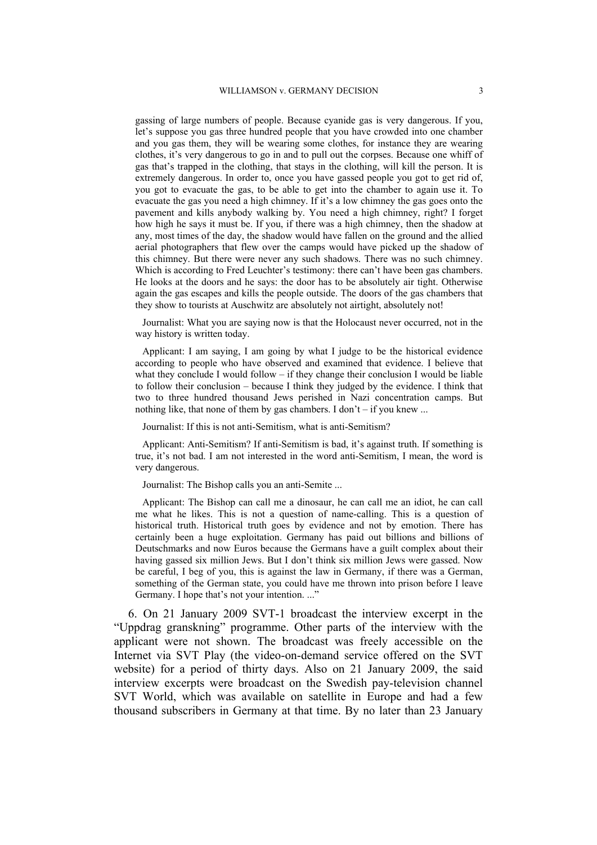gassing of large numbers of people. Because cyanide gas is very dangerous. If you, let's suppose you gas three hundred people that you have crowded into one chamber and you gas them, they will be wearing some clothes, for instance they are wearing clothes, it's very dangerous to go in and to pull out the corpses. Because one whiff of gas that's trapped in the clothing, that stays in the clothing, will kill the person. It is extremely dangerous. In order to, once you have gassed people you got to get rid of, you got to evacuate the gas, to be able to get into the chamber to again use it. To evacuate the gas you need a high chimney. If it's a low chimney the gas goes onto the pavement and kills anybody walking by. You need a high chimney, right? I forget how high he says it must be. If you, if there was a high chimney, then the shadow at any, most times of the day, the shadow would have fallen on the ground and the allied aerial photographers that flew over the camps would have picked up the shadow of this chimney. But there were never any such shadows. There was no such chimney. Which is according to Fred Leuchter's testimony: there can't have been gas chambers. He looks at the doors and he says: the door has to be absolutely air tight. Otherwise again the gas escapes and kills the people outside. The doors of the gas chambers that they show to tourists at Auschwitz are absolutely not airtight, absolutely not!

Journalist: What you are saying now is that the Holocaust never occurred, not in the way history is written today.

Applicant: I am saying, I am going by what I judge to be the historical evidence according to people who have observed and examined that evidence. I believe that what they conclude I would follow  $-$  if they change their conclusion I would be liable to follow their conclusion – because I think they judged by the evidence. I think that two to three hundred thousand Jews perished in Nazi concentration camps. But nothing like, that none of them by gas chambers. I don't – if you knew ...

Journalist: If this is not anti-Semitism, what is anti-Semitism?

Applicant: Anti-Semitism? If anti-Semitism is bad, it's against truth. If something is true, it's not bad. I am not interested in the word anti-Semitism, I mean, the word is very dangerous.

Journalist: The Bishop calls you an anti-Semite ...

Applicant: The Bishop can call me a dinosaur, he can call me an idiot, he can call me what he likes. This is not a question of name-calling. This is a question of historical truth. Historical truth goes by evidence and not by emotion. There has certainly been a huge exploitation. Germany has paid out billions and billions of Deutschmarks and now Euros because the Germans have a guilt complex about their having gassed six million Jews. But I don't think six million Jews were gassed. Now be careful, I beg of you, this is against the law in Germany, if there was a German, something of the German state, you could have me thrown into prison before I leave Germany. I hope that's not your intention. ..."

6. On 21 January 2009 SVT-1 broadcast the interview excerpt in the "Uppdrag granskning" programme. Other parts of the interview with the applicant were not shown. The broadcast was freely accessible on the Internet via SVT Play (the video-on-demand service offered on the SVT website) for a period of thirty days. Also on 21 January 2009, the said interview excerpts were broadcast on the Swedish pay-television channel SVT World, which was available on satellite in Europe and had a few thousand subscribers in Germany at that time. By no later than 23 January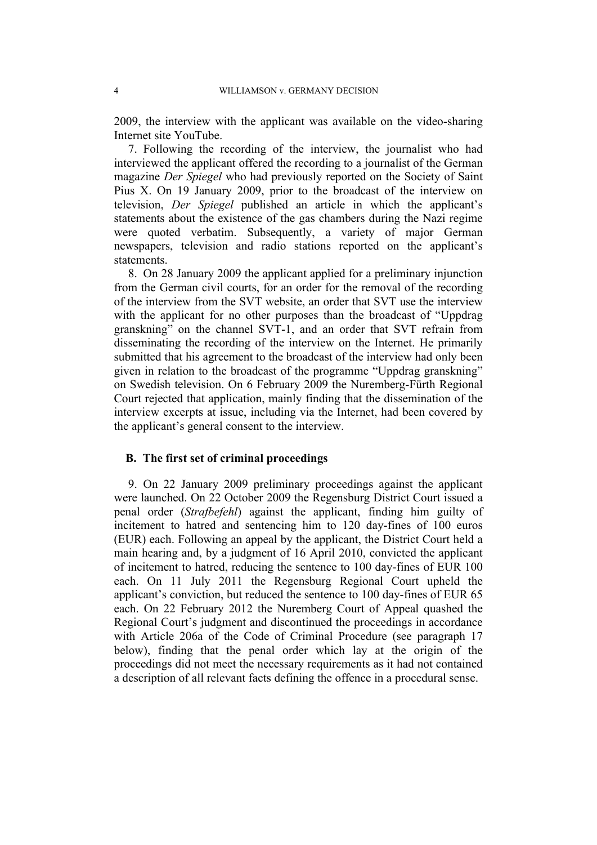2009, the interview with the applicant was available on the video-sharing Internet site YouTube.

7. Following the recording of the interview, the journalist who had interviewed the applicant offered the recording to a journalist of the German magazine *Der Spiegel* who had previously reported on the Society of Saint Pius X. On 19 January 2009, prior to the broadcast of the interview on television, *Der Spiegel* published an article in which the applicant's statements about the existence of the gas chambers during the Nazi regime were quoted verbatim. Subsequently, a variety of major German newspapers, television and radio stations reported on the applicant's statements.

8. On 28 January 2009 the applicant applied for a preliminary injunction from the German civil courts, for an order for the removal of the recording of the interview from the SVT website, an order that SVT use the interview with the applicant for no other purposes than the broadcast of "Uppdrag" granskning" on the channel SVT-1, and an order that SVT refrain from disseminating the recording of the interview on the Internet. He primarily submitted that his agreement to the broadcast of the interview had only been given in relation to the broadcast of the programme "Uppdrag granskning" on Swedish television. On 6 February 2009 the Nuremberg-Fürth Regional Court rejected that application, mainly finding that the dissemination of the interview excerpts at issue, including via the Internet, had been covered by the applicant's general consent to the interview.

### **B. The first set of criminal proceedings**

9. On 22 January 2009 preliminary proceedings against the applicant were launched. On 22 October 2009 the Regensburg District Court issued a penal order (*Strafbefehl*) against the applicant, finding him guilty of incitement to hatred and sentencing him to 120 day-fines of 100 euros (EUR) each. Following an appeal by the applicant, the District Court held a main hearing and, by a judgment of 16 April 2010, convicted the applicant of incitement to hatred, reducing the sentence to 100 day-fines of EUR 100 each. On 11 July 2011 the Regensburg Regional Court upheld the applicant's conviction, but reduced the sentence to 100 day-fines of EUR 65 each. On 22 February 2012 the Nuremberg Court of Appeal quashed the Regional Court's judgment and discontinued the proceedings in accordance with Article 206a of the Code of Criminal Procedure (see paragraph 17 below), finding that the penal order which lay at the origin of the proceedings did not meet the necessary requirements as it had not contained a description of all relevant facts defining the offence in a procedural sense.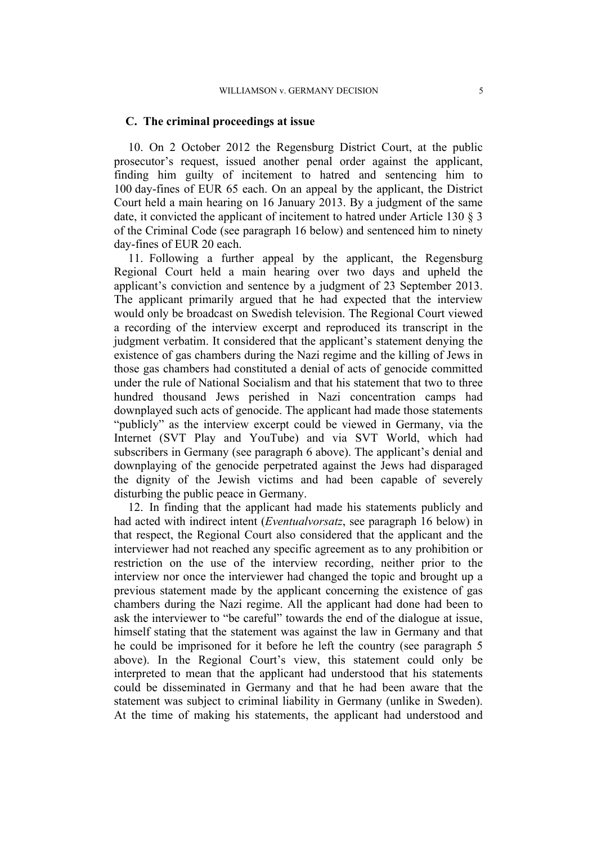#### **C. The criminal proceedings at issue**

10. On 2 October 2012 the Regensburg District Court, at the public prosecutor's request, issued another penal order against the applicant, finding him guilty of incitement to hatred and sentencing him to 100 day-fines of EUR 65 each. On an appeal by the applicant, the District Court held a main hearing on 16 January 2013. By a judgment of the same date, it convicted the applicant of incitement to hatred under Article 130 § 3 of the Criminal Code (see paragraph 16 below) and sentenced him to ninety day-fines of EUR 20 each.

11. Following a further appeal by the applicant, the Regensburg Regional Court held a main hearing over two days and upheld the applicant's conviction and sentence by a judgment of 23 September 2013. The applicant primarily argued that he had expected that the interview would only be broadcast on Swedish television. The Regional Court viewed a recording of the interview excerpt and reproduced its transcript in the judgment verbatim. It considered that the applicant's statement denying the existence of gas chambers during the Nazi regime and the killing of Jews in those gas chambers had constituted a denial of acts of genocide committed under the rule of National Socialism and that his statement that two to three hundred thousand Jews perished in Nazi concentration camps had downplayed such acts of genocide. The applicant had made those statements "publicly" as the interview excerpt could be viewed in Germany, via the Internet (SVT Play and YouTube) and via SVT World, which had subscribers in Germany (see paragraph 6 above). The applicant's denial and downplaying of the genocide perpetrated against the Jews had disparaged the dignity of the Jewish victims and had been capable of severely disturbing the public peace in Germany.

12. In finding that the applicant had made his statements publicly and had acted with indirect intent (*Eventualvorsatz*, see paragraph 16 below) in that respect, the Regional Court also considered that the applicant and the interviewer had not reached any specific agreement as to any prohibition or restriction on the use of the interview recording, neither prior to the interview nor once the interviewer had changed the topic and brought up a previous statement made by the applicant concerning the existence of gas chambers during the Nazi regime. All the applicant had done had been to ask the interviewer to "be careful" towards the end of the dialogue at issue, himself stating that the statement was against the law in Germany and that he could be imprisoned for it before he left the country (see paragraph 5 above). In the Regional Court's view, this statement could only be interpreted to mean that the applicant had understood that his statements could be disseminated in Germany and that he had been aware that the statement was subject to criminal liability in Germany (unlike in Sweden). At the time of making his statements, the applicant had understood and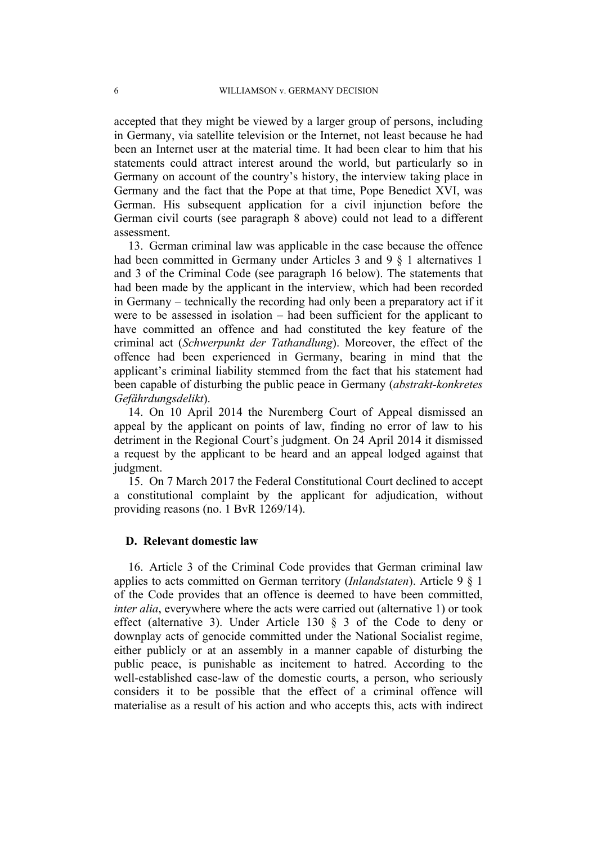accepted that they might be viewed by a larger group of persons, including in Germany, via satellite television or the Internet, not least because he had been an Internet user at the material time. It had been clear to him that his statements could attract interest around the world, but particularly so in Germany on account of the country's history, the interview taking place in Germany and the fact that the Pope at that time, Pope Benedict XVI, was German. His subsequent application for a civil injunction before the German civil courts (see paragraph 8 above) could not lead to a different assessment.

13. German criminal law was applicable in the case because the offence had been committed in Germany under Articles 3 and 9 § 1 alternatives 1 and 3 of the Criminal Code (see paragraph 16 below). The statements that had been made by the applicant in the interview, which had been recorded in Germany – technically the recording had only been a preparatory act if it were to be assessed in isolation – had been sufficient for the applicant to have committed an offence and had constituted the key feature of the criminal act (*Schwerpunkt der Tathandlung*). Moreover, the effect of the offence had been experienced in Germany, bearing in mind that the applicant's criminal liability stemmed from the fact that his statement had been capable of disturbing the public peace in Germany (*abstrakt-konkretes Gefährdungsdelikt*).

14. On 10 April 2014 the Nuremberg Court of Appeal dismissed an appeal by the applicant on points of law, finding no error of law to his detriment in the Regional Court's judgment. On 24 April 2014 it dismissed a request by the applicant to be heard and an appeal lodged against that judgment.

15. On 7 March 2017 the Federal Constitutional Court declined to accept a constitutional complaint by the applicant for adjudication, without providing reasons (no. 1 BvR 1269/14).

#### **D. Relevant domestic law**

16. Article 3 of the Criminal Code provides that German criminal law applies to acts committed on German territory (*Inlandstaten*). Article 9 § 1 of the Code provides that an offence is deemed to have been committed, *inter alia*, everywhere where the acts were carried out (alternative 1) or took effect (alternative 3). Under Article 130 § 3 of the Code to deny or downplay acts of genocide committed under the National Socialist regime, either publicly or at an assembly in a manner capable of disturbing the public peace, is punishable as incitement to hatred. According to the well-established case-law of the domestic courts, a person, who seriously considers it to be possible that the effect of a criminal offence will materialise as a result of his action and who accepts this, acts with indirect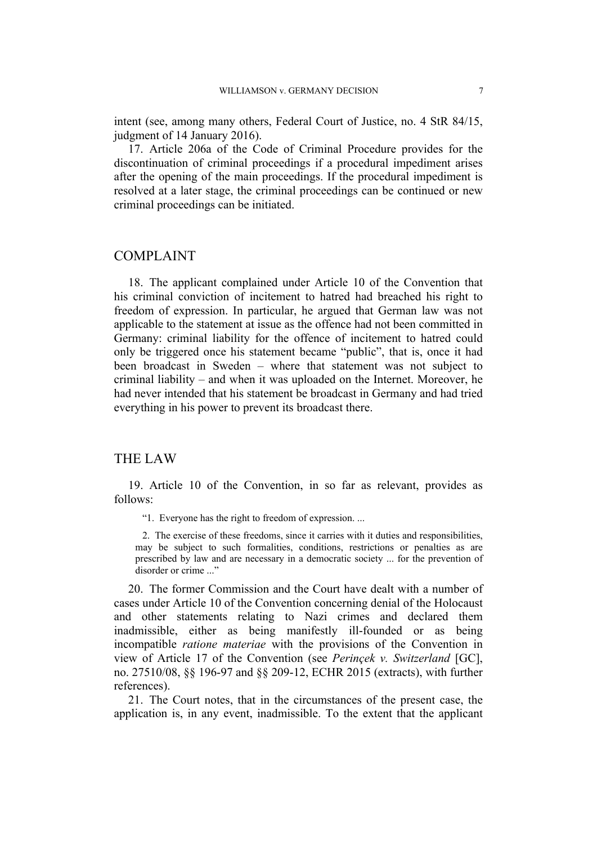intent (see, among many others, Federal Court of Justice, no. 4 StR 84/15, judgment of 14 January 2016).

17. Article 206a of the Code of Criminal Procedure provides for the discontinuation of criminal proceedings if a procedural impediment arises after the opening of the main proceedings. If the procedural impediment is resolved at a later stage, the criminal proceedings can be continued or new criminal proceedings can be initiated.

### COMPLAINT

18. The applicant complained under Article 10 of the Convention that his criminal conviction of incitement to hatred had breached his right to freedom of expression. In particular, he argued that German law was not applicable to the statement at issue as the offence had not been committed in Germany: criminal liability for the offence of incitement to hatred could only be triggered once his statement became "public", that is, once it had been broadcast in Sweden – where that statement was not subject to criminal liability – and when it was uploaded on the Internet. Moreover, he had never intended that his statement be broadcast in Germany and had tried everything in his power to prevent its broadcast there.

### THE LAW

19. Article 10 of the Convention, in so far as relevant, provides as follows:

"1. Everyone has the right to freedom of expression. ...

2. The exercise of these freedoms, since it carries with it duties and responsibilities, may be subject to such formalities, conditions, restrictions or penalties as are prescribed by law and are necessary in a democratic society ... for the prevention of disorder or crime ..."

20. The former Commission and the Court have dealt with a number of cases under Article 10 of the Convention concerning denial of the Holocaust and other statements relating to Nazi crimes and declared them inadmissible, either as being manifestly ill-founded or as being incompatible *ratione materiae* with the provisions of the Convention in view of Article 17 of the Convention (see *Perinçek v. Switzerland* [GC], no. 27510/08, §§ 196-97 and §§ 209-12, ECHR 2015 (extracts), with further references).

21. The Court notes, that in the circumstances of the present case, the application is, in any event, inadmissible. To the extent that the applicant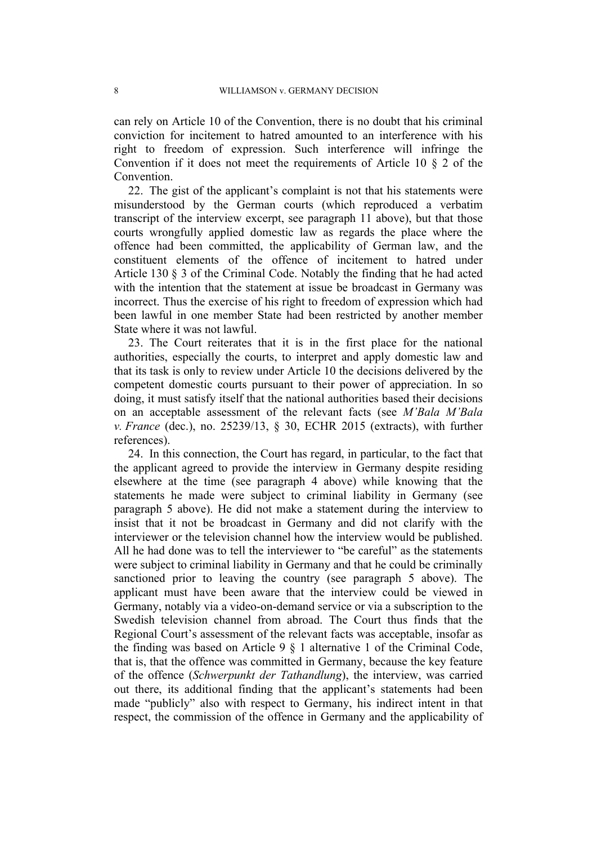can rely on Article 10 of the Convention, there is no doubt that his criminal conviction for incitement to hatred amounted to an interference with his right to freedom of expression. Such interference will infringe the Convention if it does not meet the requirements of Article 10 § 2 of the Convention.

22. The gist of the applicant's complaint is not that his statements were misunderstood by the German courts (which reproduced a verbatim transcript of the interview excerpt, see paragraph 11 above), but that those courts wrongfully applied domestic law as regards the place where the offence had been committed, the applicability of German law, and the constituent elements of the offence of incitement to hatred under Article 130 § 3 of the Criminal Code. Notably the finding that he had acted with the intention that the statement at issue be broadcast in Germany was incorrect. Thus the exercise of his right to freedom of expression which had been lawful in one member State had been restricted by another member State where it was not lawful.

23. The Court reiterates that it is in the first place for the national authorities, especially the courts, to interpret and apply domestic law and that its task is only to review under Article 10 the decisions delivered by the competent domestic courts pursuant to their power of appreciation. In so doing, it must satisfy itself that the national authorities based their decisions on an acceptable assessment of the relevant facts (see *M'Bala M'Bala v. France* (dec.), no. 25239/13, § 30, ECHR 2015 (extracts), with further references).

24. In this connection, the Court has regard, in particular, to the fact that the applicant agreed to provide the interview in Germany despite residing elsewhere at the time (see paragraph 4 above) while knowing that the statements he made were subject to criminal liability in Germany (see paragraph 5 above). He did not make a statement during the interview to insist that it not be broadcast in Germany and did not clarify with the interviewer or the television channel how the interview would be published. All he had done was to tell the interviewer to "be careful" as the statements were subject to criminal liability in Germany and that he could be criminally sanctioned prior to leaving the country (see paragraph 5 above). The applicant must have been aware that the interview could be viewed in Germany, notably via a video-on-demand service or via a subscription to the Swedish television channel from abroad. The Court thus finds that the Regional Court's assessment of the relevant facts was acceptable, insofar as the finding was based on Article 9 § 1 alternative 1 of the Criminal Code, that is, that the offence was committed in Germany, because the key feature of the offence (*Schwerpunkt der Tathandlung*), the interview, was carried out there, its additional finding that the applicant's statements had been made "publicly" also with respect to Germany, his indirect intent in that respect, the commission of the offence in Germany and the applicability of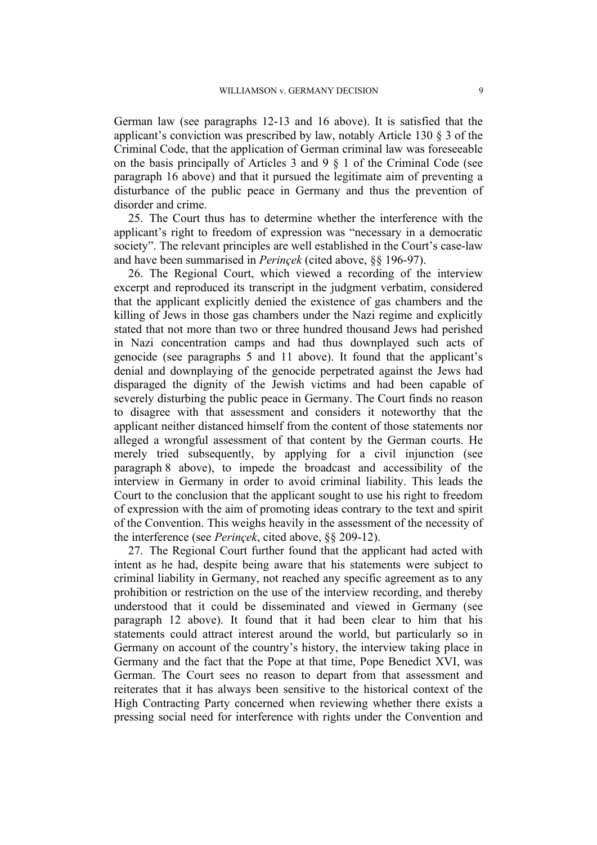German law (see paragraphs 12-13 and 16 above). It is satisfied that the applicant's conviction was prescribed by law, notably Article 130 § 3 of the Criminal Code, that the application of German criminal law was foreseeable on the basis principally of Articles 3 and 9 § 1 of the Criminal Code (see paragraph 16 above) and that it pursued the legitimate aim of preventing a disturbance of the public peace in Germany and thus the prevention of disorder and crime.

25. The Court thus has to determine whether the interference with the applicant's right to freedom of expression was "necessary in a democratic society". The relevant principles are well established in the Court's case-law and have been summarised in *Perinçek* (cited above, §§ 196-97).

26. The Regional Court, which viewed a recording of the interview excerpt and reproduced its transcript in the judgment verbatim, considered that the applicant explicitly denied the existence of gas chambers and the killing of Jews in those gas chambers under the Nazi regime and explicitly stated that not more than two or three hundred thousand Jews had perished in Nazi concentration camps and had thus downplayed such acts of genocide (see paragraphs 5 and 11 above). It found that the applicant's denial and downplaying of the genocide perpetrated against the Jews had disparaged the dignity of the Jewish victims and had been capable of severely disturbing the public peace in Germany. The Court finds no reason to disagree with that assessment and considers it noteworthy that the applicant neither distanced himself from the content of those statements nor alleged a wrongful assessment of that content by the German courts. He merely tried subsequently, by applying for a civil injunction (see paragraph 8 above), to impede the broadcast and accessibility of the interview in Germany in order to avoid criminal liability. This leads the Court to the conclusion that the applicant sought to use his right to freedom of expression with the aim of promoting ideas contrary to the text and spirit of the Convention. This weighs heavily in the assessment of the necessity of the interference (see *Perinçek*, cited above, §§ 209-12).

27. The Regional Court further found that the applicant had acted with intent as he had, despite being aware that his statements were subject to criminal liability in Germany, not reached any specific agreement as to any prohibition or restriction on the use of the interview recording, and thereby understood that it could be disseminated and viewed in Germany (see paragraph 12 above). It found that it had been clear to him that his statements could attract interest around the world, but particularly so in Germany on account of the country's history, the interview taking place in Germany and the fact that the Pope at that time, Pope Benedict XVI, was German. The Court sees no reason to depart from that assessment and reiterates that it has always been sensitive to the historical context of the High Contracting Party concerned when reviewing whether there exists a pressing social need for interference with rights under the Convention and